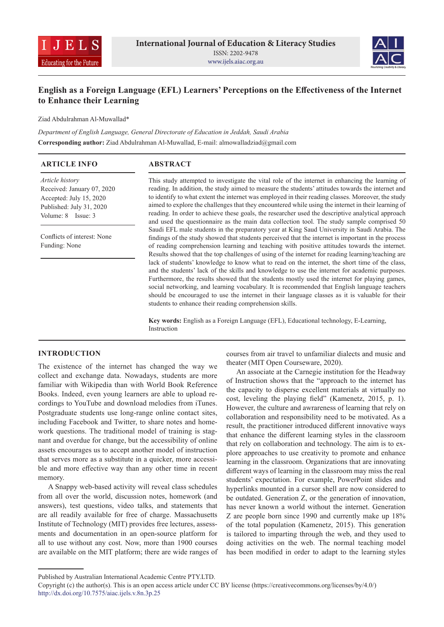



# **English as a Foreign Language (EFL) Learners' Perceptions on the Effectiveness of the Internet to Enhance their Learning**

Ziad Abdulrahman Al-Muwallad\*

*Department of English Language, General Directorate of Education in Jeddah, Saudi Arabia* **Corresponding author:** Ziad Abdulrahman Al-Muwallad, E-mail: almowalladziad@gmail.com

| <b>ARTICLE INFO</b>                                                                                                               | <b>ABSTRACT</b>                                                                                                                                                                                                                                                                                                                                                                                                                                                                                                                                                                                                                                                                                                                                                                                                                                                                                                                                                          |  |  |  |  |  |  |
|-----------------------------------------------------------------------------------------------------------------------------------|--------------------------------------------------------------------------------------------------------------------------------------------------------------------------------------------------------------------------------------------------------------------------------------------------------------------------------------------------------------------------------------------------------------------------------------------------------------------------------------------------------------------------------------------------------------------------------------------------------------------------------------------------------------------------------------------------------------------------------------------------------------------------------------------------------------------------------------------------------------------------------------------------------------------------------------------------------------------------|--|--|--|--|--|--|
| <i>Article history</i><br>Received: January 07, 2020<br>Accepted: July 15, 2020<br>Published: July 31, 2020<br>Volume: 8 Issue: 3 | This study attempted to investigate the vital role of the internet in enhancing the learning of<br>reading. In addition, the study aimed to measure the students' attitudes towards the internet and<br>to identify to what extent the internet was employed in their reading classes. Moreover, the study<br>aimed to explore the challenges that they encountered while using the internet in their learning of<br>reading. In order to achieve these goals, the researcher used the descriptive analytical approach<br>and used the questionnaire as the main data collection tool. The study sample comprised 50                                                                                                                                                                                                                                                                                                                                                     |  |  |  |  |  |  |
| Conflicts of interest: None<br>Funding: None                                                                                      | Saudi EFL male students in the preparatory year at King Saud University in Saudi Arabia. The<br>findings of the study showed that students perceived that the internet is important in the process<br>of reading comprehension learning and teaching with positive attitudes towards the internet.<br>Results showed that the top challenges of using of the internet for reading learning/teaching are<br>lack of students' knowledge to know what to read on the internet, the short time of the class,<br>and the students' lack of the skills and knowledge to use the internet for academic purposes.<br>Furthermore, the results showed that the students mostly used the internet for playing games,<br>social networking, and learning vocabulary. It is recommended that English language teachers<br>should be encouraged to use the internet in their language classes as it is valuable for their<br>students to enhance their reading comprehension skills. |  |  |  |  |  |  |
|                                                                                                                                   | <b>Key words:</b> English as a Foreign Language (EFL), Educational technology, E-Learning,                                                                                                                                                                                                                                                                                                                                                                                                                                                                                                                                                                                                                                                                                                                                                                                                                                                                               |  |  |  |  |  |  |

# Instruction

# **INTRODUCTION**

The existence of the internet has changed the way we collect and exchange data. Nowadays, students are more familiar with Wikipedia than with World Book Reference Books. Indeed, even young learners are able to upload recordings to YouTube and download melodies from iTunes. Postgraduate students use long-range online contact sites, including Facebook and Twitter, to share notes and homework questions. The traditional model of training is stagnant and overdue for change, but the accessibility of online assets encourages us to accept another model of instruction that serves more as a substitute in a quicker, more accessible and more effective way than any other time in recent memory.

A Snappy web-based activity will reveal class schedules from all over the world, discussion notes, homework (and answers), test questions, video talks, and statements that are all readily available for free of charge. Massachusetts Institute of Technology (MIT) provides free lectures, assessments and documentation in an open-source platform for all to use without any cost. Now, more than 1900 courses are available on the MIT platform; there are wide ranges of courses from air travel to unfamiliar dialects and music and theater (MIT Open Courseware, 2020).

An associate at the Carnegie institution for the Headway of Instruction shows that the "approach to the internet has the capacity to disperse excellent materials at virtually no cost, leveling the playing field" (Kamenetz, 2015, p. 1). However, the culture and awrareness of learning that rely on collaboration and responsibility need to be motivated. As a result, the practitioner introduced different innovative ways that enhance the different learning styles in the classroom that rely on collaboration and technology. The aim is to explore approaches to use creativity to promote and enhance learning in the classroom. Organizations that are innovating different ways of learning in the classroom may miss the real students' expectation. For example, PowerPoint slides and hyperlinks mounted in a cursor shell are now considered to be outdated. Generation Z, or the generation of innovation, has never known a world without the internet. Generation Z are people born since 1990 and currently make up 18% of the total population (Kamenetz, 2015). This generation is tailored to imparting through the web, and they used to doing activities on the web. The normal teaching model has been modified in order to adapt to the learning styles

Published by Australian International Academic Centre PTY.LTD.

Copyright (c) the author(s). This is an open access article under CC BY license (https://creativecommons.org/licenses/by/4.0/) http://dx.doi.org/10.7575/aiac.ijels.v.8n.3p.25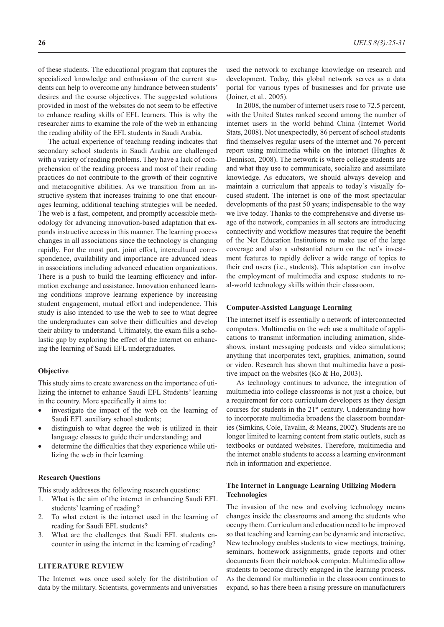of these students. The educational program that captures the specialized knowledge and enthusiasm of the current students can help to overcome any hindrance between students' desires and the course objectives. The suggested solutions provided in most of the websites do not seem to be effective to enhance reading skills of EFL learners. This is why the researcher aims to examine the role of the web in enhancing the reading ability of the EFL students in Saudi Arabia.

The actual experience of teaching reading indicates that secondary school students in Saudi Arabia are challenged with a variety of reading problems. They have a lack of comprehension of the reading process and most of their reading practices do not contribute to the growth of their cognitive and metacognitive abilities. As we transition from an instructive system that increases training to one that encourages learning, additional teaching strategies will be needed. The web is a fast, competent, and promptly accessible methodology for advancing innovation-based adaptation that expands instructive access in this manner. The learning process changes in all associations since the technology is changing rapidly. For the most part, joint effort, intercultural correspondence, availability and importance are advanced ideas in associations including advanced education organizations. There is a push to build the learning efficiency and information exchange and assistance. Innovation enhanced learning conditions improve learning experience by increasing student engagement, mutual effort and independence. This study is also intended to use the web to see to what degree the undergraduates can solve their difficulties and develop their ability to understand. Ultimately, the exam fills a scholastic gap by exploring the effect of the internet on enhancing the learning of Saudi EFL undergraduates.

#### **Objective**

This study aims to create awareness on the importance of utilizing the internet to enhance Saudi EFL Students' learning in the country. More specifically it aims to:

- investigate the impact of the web on the learning of Saudi EFL auxiliary school students;
- distinguish to what degree the web is utilized in their language classes to guide their understanding; and
- determine the difficulties that they experience while utilizing the web in their learning.

#### **Research Questions**

This study addresses the following research questions:

- 1. What is the aim of the internet in enhancing Saudi EFL students' learning of reading?
- 2. To what extent is the internet used in the learning of reading for Saudi EFL students?
- 3. What are the challenges that Saudi EFL students encounter in using the internet in the learning of reading?

## **LITERATURE REVIEW**

The Internet was once used solely for the distribution of data by the military. Scientists, governments and universities

used the network to exchange knowledge on research and development. Today, this global network serves as a data portal for various types of businesses and for private use (Joiner, et al., 2005).

In 2008, the number of internet users rose to 72.5 percent, with the United States ranked second among the number of internet users in the world behind China (Internet World Stats, 2008). Not unexpectedly, 86 percent of school students find themselves regular users of the internet and 76 percent report using multimedia while on the internet (Hughes & Dennison, 2008). The network is where college students are and what they use to communicate, socialize and assimilate knowledge. As educators, we should always develop and maintain a curriculum that appeals to today's visually focused student. The internet is one of the most spectacular developments of the past 50 years; indispensable to the way we live today. Thanks to the comprehensive and diverse usage of the network, companies in all sectors are introducing connectivity and workflow measures that require the benefit of the Net Education Institutions to make use of the large coverage and also a substantial return on the net's investment features to rapidly deliver a wide range of topics to their end users (i.e., students). This adaptation can involve the employment of multimedia and expose students to real-world technology skills within their classroom.

#### **Computer-Assisted Language Learning**

The internet itself is essentially a network of interconnected computers. Multimedia on the web use a multitude of applications to transmit information including animation, slideshows, instant messaging podcasts and video simulations; anything that incorporates text, graphics, animation, sound or video. Research has shown that multimedia have a positive impact on the websites (Ko & Ho, 2003).

As technology continues to advance, the integration of multimedia into college classrooms is not just a choice, but a requirement for core curriculum developers as they design courses for students in the 21<sup>st</sup> century. Understanding how to incorporate multimedia broadens the classroom boundaries (Simkins, Cole, Tavalin, & Means, 2002). Students are no longer limited to learning content from static outlets, such as textbooks or outdated websites. Therefore, multimedia and the internet enable students to access a learning environment rich in information and experience.

# **The Internet in Language Learning Utilizing Modern Technologies**

The invasion of the new and evolving technology means changes inside the classrooms and among the students who occupy them. Curriculum and education need to be improved so that teaching and learning can be dynamic and interactive. New technology enables students to view meetings, training, seminars, homework assignments, grade reports and other documents from their notebook computer. Multimedia allow students to become directly engaged in the learning process. As the demand for multimedia in the classroom continues to expand, so has there been a rising pressure on manufacturers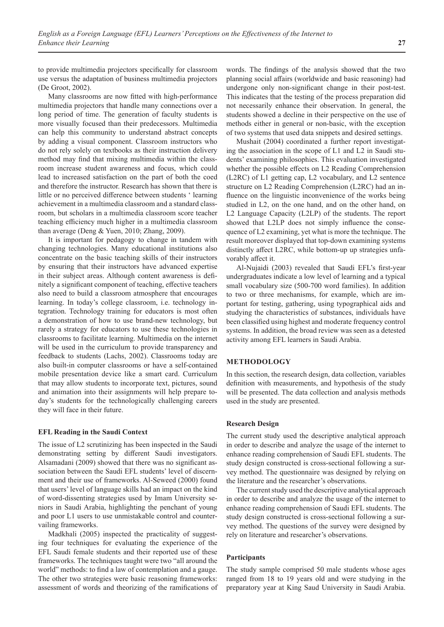to provide multimedia projectors specifically for classroom use versus the adaptation of business multimedia projectors (De Groot, 2002).

Many classrooms are now fitted with high-performance multimedia projectors that handle many connections over a long period of time. The generation of faculty students is more visually focused than their predecessors. Multimedia can help this community to understand abstract concepts by adding a visual component. Classroom instructors who do not rely solely on textbooks as their instruction delivery method may find that mixing multimedia within the classroom increase student awareness and focus, which could lead to increased satisfaction on the part of both the coed and therefore the instructor. Research has shown that there is little or no perceived difference between students ' learning achievement in a multimedia classroom and a standard classroom, but scholars in a multimedia classroom score teacher teaching efficiency much higher in a multimedia classroom than average (Deng & Yuen, 2010; Zhang, 2009).

It is important for pedagogy to change in tandem with changing technologies. Many educational institutions also concentrate on the basic teaching skills of their instructors by ensuring that their instructors have advanced expertise in their subject areas. Although content awareness is definitely a significant component of teaching, effective teachers also need to build a classroom atmosphere that encourages learning. In today's college classroom, i.e. technology integration. Technology training for educators is most often a demonstration of how to use brand-new technology, but rarely a strategy for educators to use these technologies in classrooms to facilitate learning. Multimedia on the internet will be used in the curriculum to provide transparency and feedback to students (Lachs, 2002). Classrooms today are also built-in computer classrooms or have a self-contained mobile presentation device like a smart card. Curriculum that may allow students to incorporate text, pictures, sound and animation into their assignments will help prepare today's students for the technologically challenging careers they will face in their future.

#### **EFL Reading in the Saudi Context**

The issue of L2 scrutinizing has been inspected in the Saudi demonstrating setting by different Saudi investigators. Alsamadani (2009) showed that there was no significant association between the Saudi EFL students' level of discernment and their use of frameworks. Al-Seweed (2000) found that users' level of language skills had an impact on the kind of word-dissenting strategies used by Imam University seniors in Saudi Arabia, highlighting the penchant of young and poor L1 users to use unmistakable control and countervailing frameworks.

Madkhali (2005) inspected the practicality of suggesting four techniques for evaluating the experience of the EFL Saudi female students and their reported use of these frameworks. The techniques taught were two "all around the world" methods: to find a law of contemplation and a gauge. The other two strategies were basic reasoning frameworks: assessment of words and theorizing of the ramifications of words. The findings of the analysis showed that the two planning social affairs (worldwide and basic reasoning) had undergone only non-significant change in their post-test. This indicates that the testing of the process preparation did not necessarily enhance their observation. In general, the students showed a decline in their perspective on the use of methods either in general or non-basic, with the exception of two systems that used data snippets and desired settings.

Mushait (2004) coordinated a further report investigating the association in the scope of L1 and L2 in Saudi students' examining philosophies. This evaluation investigated whether the possible effects on L2 Reading Comprehension (L2RC) of L1 getting cap, L2 vocabulary, and L2 sentence structure on L2 Reading Comprehension (L2RC) had an influence on the linguistic inconvenience of the works being studied in L2, on the one hand, and on the other hand, on L2 Language Capacity (L2LP) of the students. The report showed that L2LP does not simply influence the consequence of L2 examining, yet what is more the technique. The result moreover displayed that top-down examining systems distinctly affect L2RC, while bottom-up up strategies unfavorably affect it.

Al-Nujaidi (2003) revealed that Saudi EFL's first-year undergraduates indicate a low level of learning and a typical small vocabulary size (500-700 word families). In addition to two or three mechanisms, for example, which are important for testing, gathering, using typographical aids and studying the characteristics of substances, individuals have been classified using highest and moderate frequency control systems. In addition, the broad review was seen as a detested activity among EFL learners in Saudi Arabia.

# **METHODOLOGY**

In this section, the research design, data collection, variables definition with measurements, and hypothesis of the study will be presented. The data collection and analysis methods used in the study are presented.

#### **Research Design**

The current study used the descriptive analytical approach in order to describe and analyze the usage of the internet to enhance reading comprehension of Saudi EFL students. The study design constructed is cross-sectional following a survey method. The questionnaire was designed by relying on the literature and the researcher's observations.

The current study used the descriptive analytical approach in order to describe and analyze the usage of the internet to enhance reading comprehension of Saudi EFL students. The study design constructed is cross-sectional following a survey method. The questions of the survey were designed by rely on literature and researcher's observations.

#### **Participants**

The study sample comprised 50 male students whose ages ranged from 18 to 19 years old and were studying in the preparatory year at King Saud University in Saudi Arabia.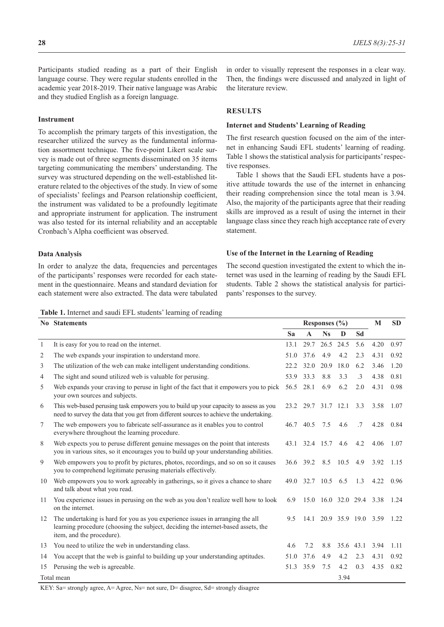Participants studied reading as a part of their English language course. They were regular students enrolled in the academic year 2018-2019. Their native language was Arabic and they studied English as a foreign language.

#### **Instrument**

To accomplish the primary targets of this investigation, the researcher utilized the survey as the fundamental information assortment technique. The five-point Likert scale survey is made out of three segments disseminated on 35 items targeting communicating the members' understanding. The survey was structured depending on the well-established literature related to the objectives of the study. In view of some of specialists' feelings and Pearson relationship coefficient, the instrument was validated to be a profoundly legitimate and appropriate instrument for application. The instrument was also tested for its internal reliability and an acceptable Cronbach's Alpha coefficient was observed.

### **Data Analysis**

In order to analyze the data, frequencies and percentages of the participants' responses were recorded for each statement in the questionnaire. Means and standard deviation for each statement were also extracted. The data were tabulated

in order to visually represent the responses in a clear way. Then, the findings were discussed and analyzed in light of the literature review.

## **RESULTS**

### **Internet and Students' Learning of Reading**

The first research question focused on the aim of the internet in enhancing Saudi EFL students' learning of reading. Table 1 shows the statistical analysis for participants' respective responses.

Table 1 shows that the Saudi EFL students have a positive attitude towards the use of the internet in enhancing their reading comprehension since the total mean is 3.94. Also, the majority of the participants agree that their reading skills are improved as a result of using the internet in their language class since they reach high acceptance rate of every statement.

#### **Use of the Internet in the Learning of Reading**

The second question investigated the extent to which the internet was used in the learning of reading by the Saudi EFL students. Table 2 shows the statistical analysis for participants' responses to the survey.

**Table 1.** Internet and saudi EFL students' learning of reading

|              | <b>No</b> Statements                                                                                                                                                                            |      | Responses (%)      |                |      |           |                               | <b>SD</b> |
|--------------|-------------------------------------------------------------------------------------------------------------------------------------------------------------------------------------------------|------|--------------------|----------------|------|-----------|-------------------------------|-----------|
|              |                                                                                                                                                                                                 | Sa   | $\mathbf{A}$       | <b>Ns</b>      | D    | Sd        |                               |           |
| $\mathbf{1}$ | It is easy for you to read on the internet.                                                                                                                                                     | 13.1 | 29.7               | 26.5           | 24.5 | 5.6       | 4.20                          | 0.97      |
| 2            | The web expands your inspiration to understand more.                                                                                                                                            | 51.0 | 37.6               | 4.9            | 4.2  | 2.3       | 4.31                          | 0.92      |
| 3            | The utilization of the web can make intelligent understanding conditions.                                                                                                                       | 22.2 | 32.0               | 20.9           | 18.0 | 6.2       | 3.46                          | 1.20      |
| 4            | The sight and sound utilized web is valuable for perusing.                                                                                                                                      | 53.9 | 33.3               | 8.8            | 3.3  | $\cdot$ 3 | 4.38                          | 0.81      |
| 5            | Web expands your craving to peruse in light of the fact that it empowers you to pick<br>your own sources and subjects.                                                                          |      | 56.5 28.1          | 6.9            | 6.2  | 2.0       | 4.31                          | 0.98      |
| 6            | This web-based perusing task empowers you to build up your capacity to assess as you<br>need to survey the data that you get from different sources to achieve the undertaking.                 | 23.2 |                    | 29.7 31.7 12.1 |      | 3.3       | 3.58                          | 1.07      |
| 7            | The web empowers you to fabricate self-assurance as it enables you to control<br>everywhere throughout the learning procedure.                                                                  | 46.7 | 40.5               | 7.5            | 4.6  | .7        | 4.28                          | 0.84      |
| 8            | Web expects you to peruse different genuine messages on the point that interests<br>you in various sites, so it encourages you to build up your understanding abilities.                        |      | 43.1 32.4 15.7 4.6 |                |      | 4.2       | $4.06$ 1.07                   |           |
| 9            | Web empowers you to profit by pictures, photos, recordings, and so on so it causes<br>you to comprehend legitimate perusing materials effectively.                                              |      | 36.6 39.2 8.5 10.5 |                |      | 4.9       | 3.92                          | 1.15      |
| 10           | Web empowers you to work agreeably in gatherings, so it gives a chance to share<br>and talk about what you read.                                                                                | 49.0 |                    | 32.7 10.5 6.5  |      | 1.3       | 4.22                          | 0.96      |
| 11           | You experience issues in perusing on the web as you don't realize well how to look<br>on the internet.                                                                                          | 6.9  |                    |                |      |           | 15.0 16.0 32.0 29.4 3.38 1.24 |           |
| 12           | The undertaking is hard for you as you experience issues in arranging the all<br>learning procedure (choosing the subject, deciding the internet-based assets, the<br>item, and the procedure). | 9.5  |                    |                |      |           | 14.1 20.9 35.9 19.0 3.59 1.22 |           |
| 13           | You need to utilize the web in understanding class.                                                                                                                                             | 4.6  | 7.2                | 8.8            | 35.6 | 43.1      | 3.94                          | 1.11      |
| 14           | You accept that the web is gainful to building up your understanding aptitudes.                                                                                                                 | 51.0 | 37.6               | 4.9            | 4.2  | 2.3       | 4.31                          | 0.92      |
| 15           | Perusing the web is agreeable.                                                                                                                                                                  | 51.3 | 35.9               | 7.5            | 4.2  | 0.3       | 4.35                          | 0.82      |
| Total mean   |                                                                                                                                                                                                 |      |                    |                | 3.94 |           |                               |           |

KEY: Sa= strongly agree, A= Agree, Ns= not sure, D= disagree, Sd= strongly disagree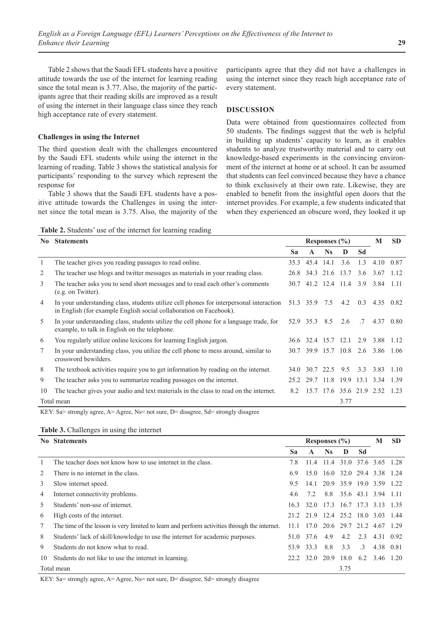Table 2 shows that the Saudi EFL students have a positive attitude towards the use of the internet for learning reading since the total mean is 3.77. Also, the majority of the participants agree that their reading skills are improved as a result of using the internet in their language class since they reach high acceptance rate of every statement.

## **Challenges in using the Internet**

The third question dealt with the challenges encountered by the Saudi EFL students while using the internet in the learning of reading. Table 3 shows the statistical analysis for participants' responding to the survey which represent the response for

Table 3 shows that the Saudi EFL students have a positive attitude towards the Challenges in using the internet since the total mean is 3.75. Also, the majority of the participants agree that they did not have a challenges in using the internet since they reach high acceptance rate of every statement.

# **DISCUSSION**

Data were obtained from questionnaires collected from 50 students. The findings suggest that the web is helpful in building up students' capacity to learn, as it enables students to analyze trustworthy material and to carry out knowledge-based experiments in the convincing environment of the internet at home or at school. It can be assumed that students can feel convinced because they have a chance to think exclusively at their own rate. Likewise, they are enabled to benefit from the insightful open doors that the internet provides. For example, a few students indicated that when they experienced an obscure word, they looked it up

**Table 2.** Students' use of the internet for learning reading

| No.        | <b>Statements</b>                                                                                                                                             | Responses $(\% )$ |                     |               | M                  | <b>SD</b>       |                          |           |
|------------|---------------------------------------------------------------------------------------------------------------------------------------------------------------|-------------------|---------------------|---------------|--------------------|-----------------|--------------------------|-----------|
|            |                                                                                                                                                               | Sa                | $\mathbf{A}$        | <b>Ns</b>     | D                  | Sd              |                          |           |
| 1          | The teacher gives you reading passages to read online.                                                                                                        | 35.3              |                     | 45.4 14.1     | 3.6                | 1.3             | 4.10                     | 0.87      |
| 2          | The teacher use blogs and twitter messages as materials in your reading class.                                                                                | 26.8              | 34.3 21.6 13.7      |               |                    | 3.6             | 3.67                     | 1.12      |
| 3          | The teacher asks you to send short messages and to read each other's comments<br>(e.g. on Twitter).                                                           | 30.7              |                     |               | 41.2 12.4 11.4 3.9 |                 | 3.84 1.11                |           |
| 4          | In your understanding class, students utilize cell phones for interpersonal interaction<br>in English (for example English social collaboration on Facebook). |                   | 51.3 35.9 7.5       |               | 4.2                | 0.3             |                          | 4.35 0.82 |
| 5          | In your understanding class, students utilize the cell phone for a language trade, for<br>example, to talk in English on the telephone.                       |                   | 52.9 35.3 8.5       |               | 2.6                | $.7\phantom{0}$ |                          | 4.37 0.80 |
| 6          | You regularly utilize online lexicons for learning English jargon.                                                                                            |                   | 36.6 32.4 15.7 12.1 |               |                    | 2.9             | 3.88                     | 1.12      |
| 7          | In your understanding class, you utilize the cell phone to mess around, similar to<br>crossword bewilders.                                                    | 30.7              |                     |               | 39.9 15.7 10.8     | 2.6             | 3.86 1.06                |           |
| 8          | The textbook activities require you to get information by reading on the internet.                                                                            | 34.0              |                     | 30.7 22.5 9.5 |                    | 3.3             | 3.83                     | 1.10      |
| 9          | The teacher asks you to summarize reading passages on the internet.                                                                                           | 25.2              | 29.7                | 11.8          | 19.9               |                 | 13.1 3.34                | 1.39      |
| 10         | The teacher gives your audio and text materials in the class to read on the internet.                                                                         | 8.2               |                     |               |                    |                 | 15.7 17.6 35.6 21.9 2.52 | 1.23      |
| Total mean |                                                                                                                                                               |                   |                     |               | 3.77               |                 |                          |           |

KEY: Sa= strongly agree, A= Agree, Ns= not sure, D= disagree, Sd= strongly disagree

| Table 3. Challenges in using the internet |  |  |
|-------------------------------------------|--|--|
|                                           |  |  |

|            | No Statements                                                                                |       | Responses $(\% )$ |                             |                |           |                               | <b>SD</b> |
|------------|----------------------------------------------------------------------------------------------|-------|-------------------|-----------------------------|----------------|-----------|-------------------------------|-----------|
|            |                                                                                              | Sa    | A                 | Ns.                         | D              | Sd        |                               |           |
|            | The teacher does not know how to use internet in the class.                                  | 7.8   | 11.4              | 11.4                        | 31.0 37.6 3.65 |           |                               | 1.28      |
|            | There is no internet in the class.                                                           | 6.9   | 15.0              |                             |                |           | 16.0 32.0 29.4 3.38 1.24      |           |
| 3          | Slow internet speed.                                                                         | 9.5   | 14.1              |                             |                |           | 20.9 35.9 19.0 3.59 1.22      |           |
| 4          | Internet connectivity problems.                                                              | 4.6   | 7.2               |                             |                |           | 8.8 35.6 43.1 3.94 1.11       |           |
| 5          | Students' non-use of internet.                                                               | 16.3  |                   |                             |                |           | 32.0 17.3 16.7 17.3 3.13 1.35 |           |
| 6          | High costs of the internet.                                                                  |       | 21.2 21.9         | 12.4 25.2 18.0 3.03         |                |           |                               | 1.44      |
| 7          | The time of the lesson is very limited to learn and perform activities through the internet. | 11.1  |                   | $17.0$ $20.6$ $29.7$ $21.2$ |                |           | 4.67                          | - 1.29    |
| 8          | Students' lack of skill/knowledge to use the internet for academic purposes.                 | 51.0  | 37.6              | 4.9                         | $4.2\quad 2.3$ |           | 4.31 0.92                     |           |
| 9          | Students do not know what to read.                                                           | 53.9  | 33.3              | 8.8                         | 3.3            | $\cdot$ 3 | 4.38 0.81                     |           |
| 10         | Students do not like to use the internet in learning.                                        | 22.2. | 32.0              | 20.9                        |                |           | 18.0 6.2 3.46 1.20            |           |
| Total mean |                                                                                              |       |                   |                             | 3.75           |           |                               |           |

KEY: Sa= strongly agree, A= Agree, Ns= not sure, D= disagree, Sd= strongly disagree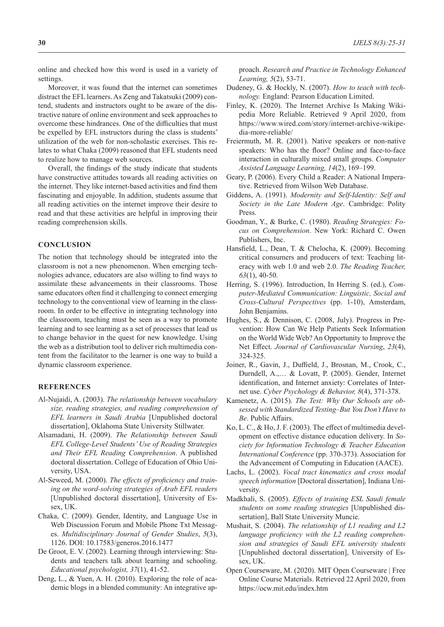online and checked how this word is used in a variety of settings.

Moreover, it was found that the internet can sometimes distract the EFL learners. As Zeng and Takatsuki (2009) contend, students and instructors ought to be aware of the distractive nature of online environment and seek approaches to overcome these hindrances. One of the difficulties that must be expelled by EFL instructors during the class is students' utilization of the web for non-scholastic exercises. This relates to what Chaka (2009) reasoned that EFL students need to realize how to manage web sources.

Overall, the findings of the study indicate that students have constructive attitudes towards all reading activities on the internet. They like internet-based activities and find them fascinating and enjoyable. In addition, students assume that all reading activities on the internet improve their desire to read and that these activities are helpful in improving their reading comprehension skills.

## **CONCLUSION**

The notion that technology should be integrated into the classroom is not a new phenomenon. When emerging technologies advance, educators are also willing to find ways to assimilate these advancements in their classrooms. Those same educators often find it challenging to connect emerging technology to the conventional view of learning in the classroom. In order to be effective in integrating technology into the classroom, teaching must be seen as a way to promote learning and to see learning as a set of processes that lead us to change behavior in the quest for new knowledge. Using the web as a distribution tool to deliver rich multimedia content from the facilitator to the learner is one way to build a dynamic classroom experience.

## **REFERENCES**

- Al-Nujaidi, A. (2003). *The relationship between vocabulary size, reading strategies, and reading comprehension of EFL learners in Saudi Arabia* [Unpublished doctoral dissertation], Oklahoma State University Stillwater.
- Alsamadani, H. (2009). *The Relationship between Saudi EFL College-Level Students' Use of Reading Strategies and Their EFL Reading Comprehension*. A published doctoral dissertation. College of Education of Ohio University, USA.
- Al-Seweed, M. (2000). *The effects of proficiency and training on the word-solving strategies of Arab EFL readers* [Unpublished doctoral dissertation], University of Essex, UK.
- Chaka, C. (2009). Gender, Identity, and Language Use in Web Discussion Forum and Mobile Phone Txt Messages. *Multidisciplinary Journal of Gender Studies*, *5*(3), 1126. DOI: 10.17583/generos.2016.1477
- De Groot, E. V. (2002). Learning through interviewing: Students and teachers talk about learning and schooling. *Educational psychologist, 37*(1), 41-52.
- Deng, L., & Yuen, A. H. (2010). Exploring the role of academic blogs in a blended community: An integrative ap-

proach. *Research and Practice in Technology Enhanced Learning, 5*(2), 53-71.

- Dudeney, G. & Hockly, N. (2007). *How to teach with technology.* England: Pearson Education Limited.
- Finley, K. (2020). The Internet Archive Is Making Wikipedia More Reliable. Retrieved 9 April 2020, from https://www.wired.com/story/internet-archive-wikipedia-more-reliable/
- Freiermuth, M. R. (2001). Native speakers or non-native speakers: Who has the floor? Online and face-to-face interaction in culturally mixed small groups. *Computer Assisted Language Learning, 14*(2), 169–199.
- Geary, P. (2006). Every Child a Reader: A National Imperative. Retrieved from Wilson Web Database.
- Giddens, A. (1991). *Modernity and Self-Identity: Self and Society in the Late Modern Age*. Cambridge: Polity Press.
- Goodman, Y., & Burke, C. (1980). *Reading Strategies: Focus on Comprehension*. New York: Richard C. Owen Publishers, Inc.
- Hansfield, L., Dean, T. & Chelocha, K. (2009). Becoming critical consumers and producers of text: Teaching literacy with web 1.0 and web 2.0. *The Reading Teacher, 63*(1), 40-50.
- Herring, S. (1996). Introduction, In Herring S. (ed.), *Computer-Mediated Communication: Linguistic, Social and Cross-Cultural Perspectives* (pp. 1-10), Amsterdam, John Benjamins.
- Hughes, S., & Dennison, C. (2008, July). Progress in Prevention: How Can We Help Patients Seek Information on the World Wide Web? An Opportunity to Improve the Net Effect. *Journal of Cardiovascular Nursing*, *23*(4), 324-325.
- Joiner, R., Gavin, J., Duffield, J., Brosnan, M., Crook, C., Durndell, A.,… & Lovatt, P. (2005). Gender, Internet identification, and Internet anxiety: Correlates of Internet use. *Cyber Psychology & Behavior, 8*(4), 371-378.
- Kamenetz, A. (2015). *The Test: Why Our Schools are obsessed with Standardized Testing–But You Don't Have to Be*. Public Affairs.
- Ko, L. C., & Ho, J. F. (2003). The effect of multimedia development on effective distance education delivery. In *Society for Information Technology & Teacher Education International Conference* (pp. 370-373). Association for the Advancement of Computing in Education (AACE).
- Lachs, L. (2002). *Vocal tract kinematics and cross modal speech information* [Doctoral dissertation], Indiana University.
- Madkhali, S. (2005). *Effects of training ESL Saudi female students on some reading strategies* [Unpublished dissertation], Ball State University Muncie.
- Mushait, S. (2004). *The relationship of L1 reading and L2 language proficiency with the L2 reading comprehension and strategies of Saudi EFL university students*  [Unpublished doctoral dissertation], University of Essex, UK.
- Open Courseware, M. (2020). MIT Open Courseware | Free Online Course Materials. Retrieved 22 April 2020, from https://ocw.mit.edu/index.htm